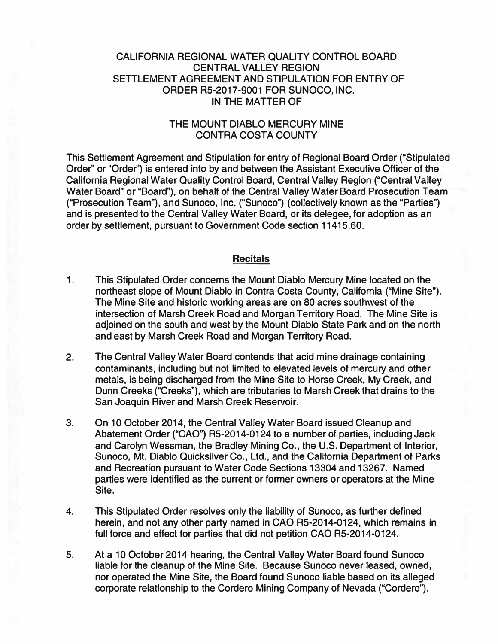#### **CALIFORNIA REGIONAL WATER QUALITY CONTROL BOARD CENTRAL VALLEY REGION SETTLEMENT AGREEMENT AND STIPULATION FOR ENTRY OF ORDER R5-2017-9001 FOR SUNOCO, INC. IN THE MATTER OF**

## **THE MOUNT DIABLO MERCURY MINE CONTRA COSTA COUNTY**

**This Settlement Agreement and Stipulation for entry of Regional Board Order ("Stipulated Order'' or "Order'') is entered into by and between the Assistant Executive Officer of the California Regional Water Quality Control Board, Central Valley Region ("Central Valley Water Board" or "Board"), on behalf of the Central Valley Water Board Prosecution Team ("Prosecution Team"), and Sunoco, Inc. ("Sunoco") (collectively known as the "Parties") and is presented to the Central Valley Water Board, or its delegee, for adoption as an order by settlement, pursuant to Government Code section 11415.60.**

#### **Recitals**

- **1 . This Stipulated Order concerns the Mount Diablo Mercury Mine located on the northeast slope of Mount Diablo in Contra Costa County, California ("Mine Site"). The Mine Site and historic working areas are on 80 acres southwest of the intersection of Marsh Creek Road and Morgan Territory Road. The Mine Site is adjoined on the south and west by the Mount Diablo State Park and on the north and east by Marsh Creek Road and Morgan Territory Road.**
- **2. The Central Valley Water Board contends that acid mine drainage containing contaminants, including but not limited to elevated levels of mercury and other metals, is being discharged from the Mine Site to Horse Creek, My Creek, and Dunn Creeks ("Creeks"), which are tributaries to Marsh Creek that drains to the San Joaquin River and Marsh Creek Reservoir.**
- **3. On 10 October 2014, the Central Valley Water Board issued Cleanup and Abatement Order ("CAO") R5-2014-0124 to a number of parties, including Jack and Carolyn Wessman, the Bradley Mining Co., the U.S. Department of Interior, Sunoco, Mt. Diablo Quicksilver Co., Ltd., and the California Department of Parks and Recreation pursuant to Water Code Sections 13304 and 13267. Named parties were identified as the current or former owners or operators at the Mine Site.**
- **4. This Stipulated Order resolves only the liability of Sunoco, as further defined herein, and not any other party named in CAO RS-2014-0124, which remains in full force and effect for parties that did not petition CAO R5-2014-0124.**
- **5. At a 10 October 2014 hearing, the Central Valley Water Board found Sunoco liable for the cleanup of the Mine Site. Because Sunoco never leased, owned, nor operated the Mine Site, the Board found Sunoco liable based on its alleged corporate relationship to the Cordero Mining Company of Nevada ("Cordero").**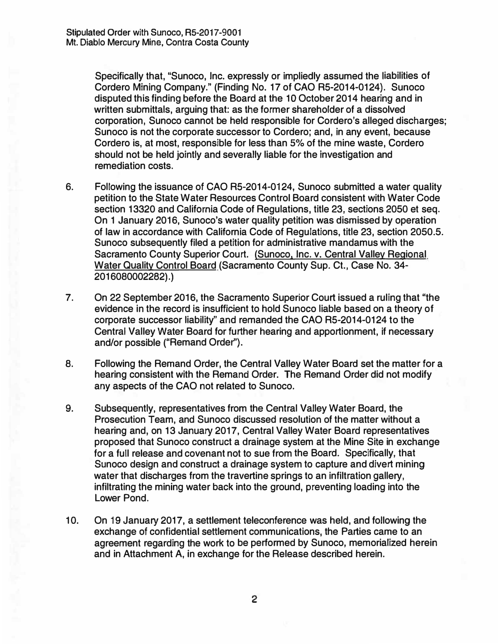**Specifically that, "Sunoco, Inc. expressly or impliedly assumed the liabilities of Cordero Mining Company." (Finding No. 17 of CAO RS-2014-0124). Sunoco disputed this finding before the Board at the 1 O October 2014 hearing and in written submittals, arguing that: as the former shareholder of a dissolved corporation, Sunoco cannot be held responsible for Cordero's alleged discharges; Sunoco is not the corporate successor to Cordero; and, in any event, because Cordero is, at most, responsible for less than 5% of the mine waste, Cordero should not be held jointly and severally liable for the investigation and remediation costs.** 

- **6. Following the issuance of CAO RS-2014-0124, Sunoco submitted a water quality petition to the State Water Resources Control Board consistent with Water Code section 13320 and California Code of Regulations, title 23, sections 2050 et seq. On 1 January 2016, Sunoco's water quality petition was dismissed by operation of law in accordance with California Code of Regulations, title 23, section 2050.5. Sunoco subsequently filed a petition for administrative mandamus with the Sacramento County Superior Court. (Sunoco, Inc. v. Central Valley Regional Water Quality Control Board (Sacramento County Sup. Ct., Case No. 34- 2016080002282).)**
- **7. On 22 September 2016, the Sacramento Superior Court issued a ruling that "the evidence in the record is insufficient to hold Sunoco liable based on a theory of corporate successor liability'' and remanded the CAO RS-2014-0124 to the Central Valley Water Board for further hearing and apportionment, if necessary and/or possible ("Remand Order").**
- **8. Following the Remand Order, the Central Valley Water Board set the matter for a hearing consistent with the Remand Order. The Remand Order did not modify any aspects of the CAO not related to Sunoco.**
- **9. Subsequently, representatives from the Central Valley Water Board, the Prosecution Team, and Sunoco discussed resolution of the matter without a hearing and, on 13 January 2017, Central Valley Water Board representatives proposed that Sunoco construct a drainage system at the Mine Site in exchange for a full release and covenant not to sue from the Board. Specifically, that Sunoco design and construct a drainage system to capture and divert mining water that discharges from the travertine springs to an infiltration gallery, infiltrating the mining water back into the ground, preventing loading into the Lower Pond.**
- **10. On 19 January 2017, a settlement teleconference was held, and following the exchange of confidential settlement communications, the Parties came to an agreement regarding the work to be performed by Sunoco, memorialized herein and in Attachment A, in exchange for the Release described herein.**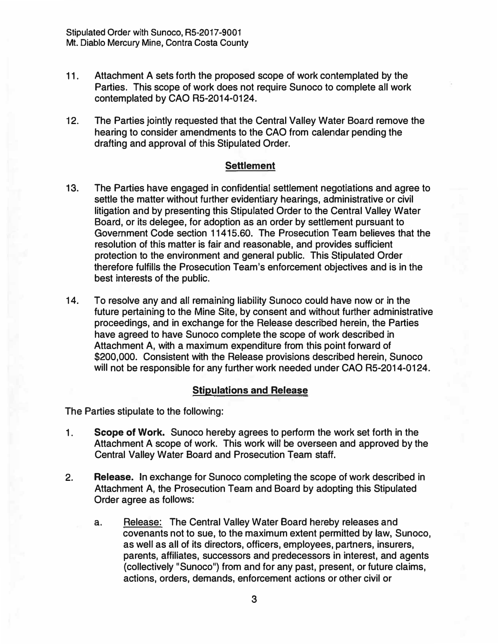- **11. Attachment A sets forth the proposed scope of work contemplated by the Parties. This scope of work does not require Sunoco to complete all work contemplated by CAO RS-2014-0124.**
- **12. The Parties jointly requested that the Central Valley Water Board remove the hearing to consider amendments to the CAO from calendar pending the drafting and approval of this Stipulated Order.**

#### **Settlement**

- **13. The Parties have engaged in confidential settlement negotiations and agree to settle the matter without further evidentiary hearings, administrative or civil litigation and by presenting this Stipulated Order to the Central Valley Water Board, or its delegee, for adoption as an order by settlement pursuant to Government Code section 11415.60. The Prosecution Team believes that the resolution of this matter is fair and reasonable, and provides sufficient protection to the environment and general public. This Stipulated Order therefore fulfills the Prosecution Team's enforcement objectives and is in the best interests of the public.**
- **14. To resolve any and all remaining liability Sunoco could have now or in the future pertaining to the Mine Site, by consent and without further administrative proceedings, and in exchange for the Release described herein, the Parties have agreed to have Sunoco complete the scope of work described in Attachment A, with a maximum expenditure from this point forward of \$200,000. Consistent with the Release provisions described herein, Sunoco will not be responsible for any further work needed under CAO RS-2014-0124.**

## **Stipulations and Release**

**The Parties stipulate to the following:** 

- **1. Scope of Work. Sunoco hereby agrees to perform the work set forth in the Attachment A scope of work. This work will be overseen and approved by the Central Valley Water Board and Prosecution Team staff.**
- **2. Release. In exchange for Sunoco completing the scope of work described in Attachment A, the Prosecution Team and Board by adopting this Stipulated Order agree as follows:**
	- a. **Release: The Central Valley Water Board hereby releases and covenants not to sue, to the maximum extent permitted by Jaw, Sunoco, as well as all of its directors, officers, employees, partners, insurers, parents, affiliates, successors and predecessors in interest, and agents (collectively** 11**Sunoco**<sup>11</sup> ) **from and for any past, present, or future claims, actions, orders, demands, enforcement actions or other civil or**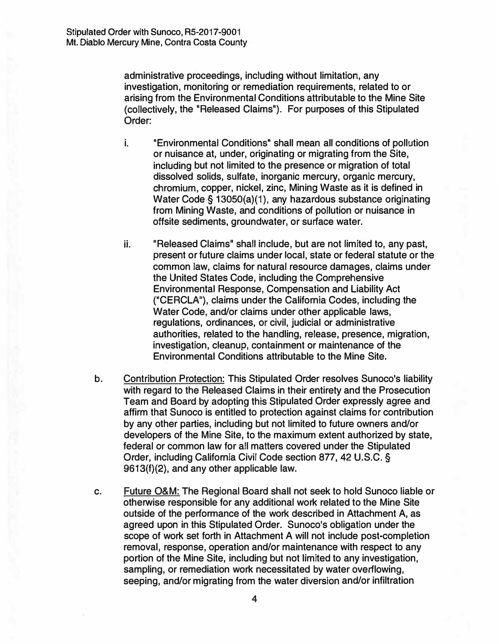**administrative proceedings, including without limitation, any investigation, monitoring or remediation requirements, related to or arising from the Environmental Conditions attributable to the Mine Site {collectively, the "Released Claims"). For purposes of this Stipulated Order:** 

- **i. 11 "Environmental Conditions" shall mean all conditions of pollution or nuisance at, under, originating or migrating from the Site, including but not limited to the presence or migration of total dissolved solids, sulfate, inorganic mercury, organic mercury, chromium, copper, nickel, zinc, Mining Waste as it is defined in Water Code§ 13050{a){1), any hazardous substance originating from Mining Waste, and conditions of pollution or nuisance in offsite sediments, groundwater, or surface water.**
- **ii. "Released Claims" shall include, but are not limited to, any past, present or future claims under local, state or federal statute or the common law, claims for natural resource damages, claims under the United States Code, including the Comprehensive Environmental Response, Compensation and Liability Act {''CERCLA"), claims under the California Codes, including the Water Code, and/or claims under other applicable laws, regulations, ordinances, or civil, judicial or administrative authorities, related to the handling, release, presence, migration, investigation, cleanup, containment or maintenance of the Environmental Conditions attributable to the Mine Site.**
- **b. Contribution Protection: This Stipulated Order resolves Sunoco's liability with regard to the Released Claims in their entirety and the Prosecution Team and Board by adopting this Stipulated Order expressly agree and affirm that Sunoco is entitled to protection against claims for contribution by any other parties, including but not limited to future owners and/or developers of the Mine Site, to the maximum extent authorized by state, federal or common law for all matters covered under the Stipulated Order, including California Civil Code section 877, 42 U.S.C. § 9613{f){2), and any other applicable law.**
- **c. Future O&M: The Regional Board shall not seek to hold Sunoco liable or otherwise responsible for any additional work related to the Mine Site outside of the performance of the work described in Attachment A, as agreed upon in this Stipulated Order. Sunoco's obligation under the scope of work set forth in Attachment A will not include post-completion removal, response, operation and/or maintenance with respect to any portion of the Mine Site, including but not limited to any investigation, sampling, or remediation work necessitated by water overflowing, seeping, and/or migrating from the water diversion and/or infiltration**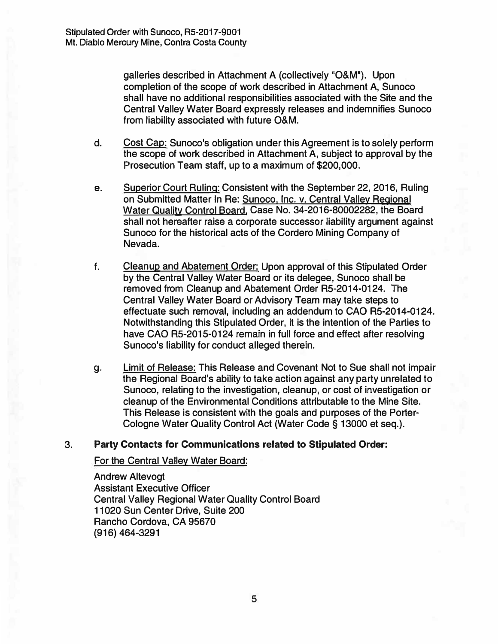**galleries described in Attachment A (collectively** <sup>1</sup> **'0&M"). Upon completion of the scope of work described in Attachment A, Sunoco shall have no additional responsibilities associated with the Site and the Central Valley Water Board expressly releases and indemnifies Sunoco from liability associated with future O&M.** 

- d. Cost Cap: Sunoco's obligation under this Agreement is to solely perform **the scope of work described in Attachment A, subject to approval by the Prosecution Team staff, up to a maximum of \$200,000.**
- e. **Superior Court Ruling: Consistent with the September 22, 2016, Ruling on Submitted Matter In Re: Sunoco, Inc. v. Central Valley Regional Water Quality Control Board, Case No. 34-2016-80002282, the Board shall not hereafter raise a corporate successor liability argument against Sunoco for the historical acts of the Cordero Mining Company of Nevada.**
- **f. Cleanup and Abatement Order: Upon approval of this Stipulated Order by the Central Valley Water Board or its delegee, Sunoco shall be removed from Cleanup and Abatement Order RS-2014-0124. The Central Valley Water Board or Advisory Team may take steps to effectuate such removal, including an addendum to CAO RS-2014-0124. Notwithstanding this Stipulated Order, it is the intention of the Parties to have CAO RS-2015-0124 remain in full force and effect after resolving Sunoco's liability for conduct alleged therein.**
- g. **Limit of Release: This Release and Covenant Not to Sue shall not impair the Regional Board**<sup>1</sup> **s ability to take action against any party unrelated to Sunoco, relating to the investigation, cleanup, or cost of investigation or cleanup of the Environmental Conditions attributable to the Mine Site. This Release is consistent with the goals and purposes of the Porter-Cologne Water Quality Control Act (Water Code§ 13000 et seq.).**

#### 3. **Party Contacts for Communications related to Stipulated Order:**

**For the Central Valley Water Board:** 

**Andrew Altevogt Assistant Executive Officer Central Valley Regional Water Quality Control Board 11020 Sun Center Drive, Suite 200 Rancho Cordova, CA 95670 (916) 464-3291**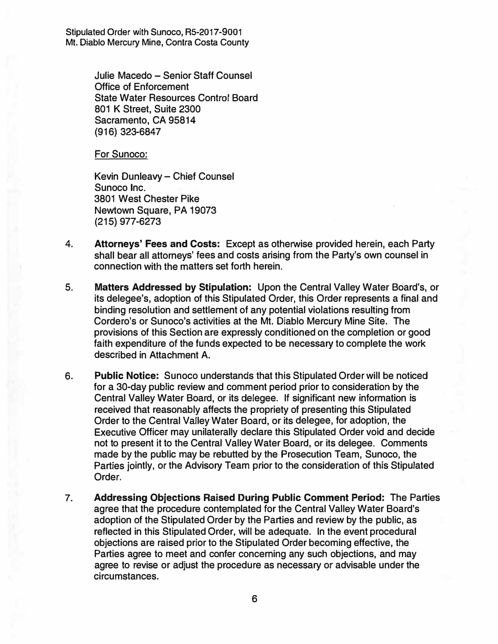**Stipulated Order with Sunoco, RS-2017-9001 Mt. Diablo Mercury Mine, Contra Costa County** 

> **Julie Macedo - Senior Staff Counsel Office of Enforcement State Water Resources Control Board 801 K Street, Suite 2300 Sacramento, CA 95814 (916) 323-6847**

**For Sunoco:** 

**Kevin Dunleavy - Chief Counsel Sunoco Inc. 3801 West Chester Pike Newtown Square, PA 19073 (215) 977-6273**

- **4. Attorneys' Fees and Costs: Except as otherwise provided herein, each Party shall bear all attorneys' fees and costs arising from the Party's own counsel in connection with the matters set forth herein.**
- **5. Matters Addressed by Stipulation: Upon the Central Valley Water Board's, or its delegee's, adoption of this Stipulated Order, this Order represents a final and binding resolution and settlement of any potential violations resulting from Cordero's or Sunoco's activities at the Mt. Diablo Mercury Mine Site. The provisions of this Section are expressly conditioned on the completion or good faith expenditure of the funds expected to be necessary to complete the work described in Attachment A.**
- **6. Public Notice: Sunoco understands that this Stipulated Order will be noticed for a 30-day public review and comment period prior to consideration by the Central Valley Water Board, or its delegee. If significant new information is received that reasonably affects the propriety of presenting this Stipulated Order to the Central Valley Water Board, or its delegee, for adoption, the Executive Officer may unilaterally declare this Stipulated Order void and decide not to present it to the Central Valley Water Board, or its delegee. Comments made by the public may be rebutted by the Prosecution Team, Sunoco, the Parties jointly, or the Advisory Team prior to the consideration of this Stipulated Order.**
- **7. Addressing Objections Raised During Public Comment Period: The Parties agree that the procedure contemplated for the Central Valley Water Board's adoption of the Stipulated Order by the Parties and review by the public, as reflected in this Stipulated Order, will be adequate. In the event procedural objections are raised prior to the Stipulated Order becoming effective, the Parties agree to meet and confer concerning any such objections, and may agree to revise or adjust the procedure as necessary or advisable under the circumstances.**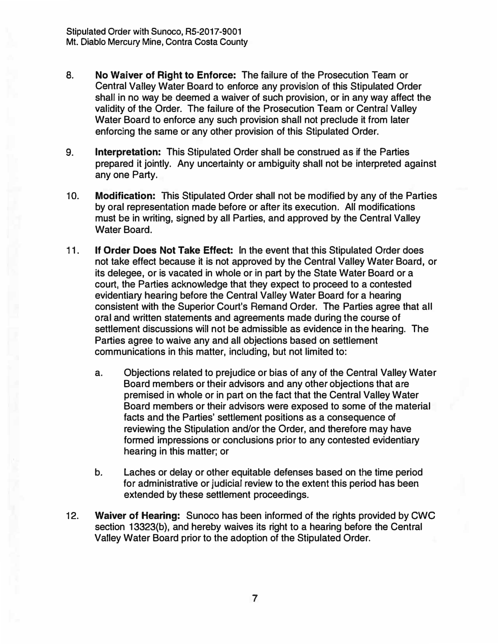- **8. No Waiver of Right to Enforce: The failure of the Prosecution Team or Central Valley Water Board to enforce any provision of this Stipulated Order shall in no way be deemed a waiver of such provision, or in any way affect the validity of the Order. The failure of the Prosecution Team or Central Valley Water Board to enforce any such provision shall not preclude it from later enforcing the same or any other provision of this Stipulated Order.**
- **9. Interpretation: This Stipulated Order shall be construed as if the Parties prepared it jointly. Any uncertainty or ambiguity shall not be interpreted against any one Party.**
- **10. Modification: This Stipulated Order shall not be modified by any of the Parties by oral representation made before or after its execution. All modifications must be in writing, signed by all Parties, and approved by the Central Valley Water Board.**
- **11. If Order Does Not Take Effect: In the event that this Stipulated Order does not take effect because it is not approved by the Central Valley Water Board, or its delegee, or is vacated in whole or in part by the State Water Board or a court, the Parties acknowledge that they expect to proceed to a contested evidentiary hearing before the Central Valley Water Board for a hearing consistent with the Superior Court's Remand Order. The Parties agree that all oral and written statements and agreements made during the course of settlement discussions will not be admissible as evidence in the hearing. The Parties agree to waive any and all objections based on settlement communications in this matter, including, but not limited to:**
	- **a. Objections related to prejudice or bias of any of the Central Valley Water Board members or their advisors and any other objections that are premised in whole or in part on the fact that the Central Valley Water Board members or their advisors were exposed to some of the material facts and the Parties' settlement positions as a consequence of reviewing the Stipulation and/or the Order, and therefore may have formed impressions or conclusions prior to any contested evidentiary hearing in this matter; or**
	- **b. Laches or delay or other equitable defenses based on the time period for administrative or judicial review to the extent this period has been extended by these settlement proceedings.**
- **12. Waiver of Hearing:** Sunoco has been informed of the rights provided by CWC **section 13323(b), and hereby waives its right to a hearing before the Central Valley Water Board prior to the adoption of the Stipulated Order.**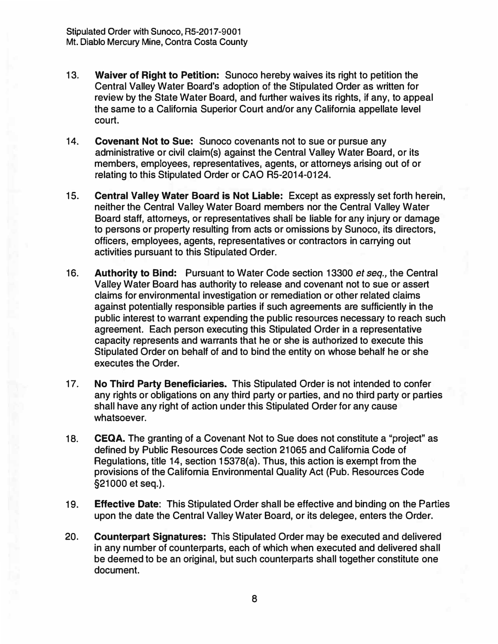- **13. Waiver of Right to Petition: Sunoco hereby waives its right to petition the Central Valley Water Board's adoption of the Stipulated Order as written for review by the State Water Board, and further waives its rights, if any, to appeal the same to a California Superior Court and/or any California appellate level court.**
- **14. Covenant Not to Sue: Sunoco covenants not to sue or pursue any administrative or civil claim(s) against the Central Valley Water Boardt or its members, employees, representatives, agents, or attorneys arising out of or relating to this Stipulated Order or CAO R5-2014-0124.**
- **15. Central Valley Water Board is Not Liable: Except as expressly set forth herein, neither the Central Valley Water Board members nor the Central Valley Water Board staff, attorneys, or representatives shall be liable for any injury or damage to persons or property resulting from acts or omissions by Sunoco, its directors, officers, employees, agents, representatives or contractors in carrying out activities pursuant to this Stipulated Order.**
- **16. Authority to Bind: Pursuant to Water Code section 13300** *et seq.,* **the Central Valley Water Board has authority to release and covenant not to sue** *or* **assert claims for environmental investigation or remediation or other related claims against potentially responsible parties if such agreements are sufficiently in the public interest to warrant expending the public resources necessary to reach such agreement. Each person executing this Stipulated Order in a representative capacity represents and warrants that he or she is authorized to execute this Stipulated Order on behalf of and to bind the entity on whose behalf he or she executes the Order.**
- **17. No Third Party Beneficiaries. This Stipulated Order is not intended to confer any rights or obligations on any third party or parties, and no third party or parties shall have any right of action under this Stipulated Order for any cause whatsoever.**
- **18. CEQA. The granting of a Covenant Not to Sue does not constitute a "project" as defined by Public Resources Code section 21065 and California Code of Regulations, title 14, section 15378(a). Thus, this action is exempt from the provisions of the California Environmental Quality Act (Pub. Resources Code §21000 et seq.).**
- **19. Effective Date: This Stipulated Order shall be effective and binding on the Parties upon the date the Central Valley Water Board, or its delegee, enters the Order.**
- **20. Counterpart Signatures: This Stipulated Order may be executed and delivered in any number of counterparts, each of which when executed and delivered shall be deemed to be an original, but such counterparts shall together constitute one document.**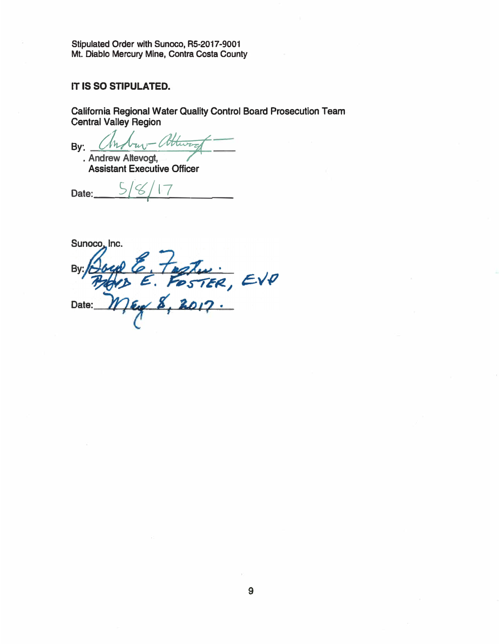**Stipulated Order with Sunoco, RS-2017-9001 Mt. Diablo Mercury Mine, Contra Costa County** 

# **IT IS SO STIPULATED.**

**California Regional Water Quality Control Board Prosecution Team Central Valley Region** 

**By:**  $\sqrt{h\lambda_{uv} - \theta_{uvw}}$ <br>**·** Andrew Altevogt,<br>**Assistant Executive Officer** 

Date:  $\frac{8}{17}$ 

Sunoco, Inc.

E. Foster, EVP By: Date: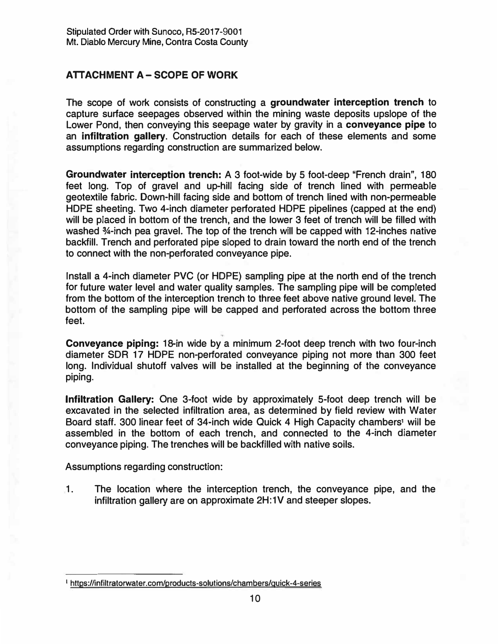## **ATTACHMENT A-SCOPE Of WORK**

**The scope of work consists of constructing a groundwater interception trench to capture surtace seepages observed within the mining waste deposits upslope of the Lower Pond, then conveying this seepage water by gravity in a conveyance pipe to an infiltration gallery. Construction details for each of these elements and some assumptions regarding construction are summarized below.** 

**Groundwater interception trench: A 3 foot-wide by 5 foot-deep "French drain", 180 feet long. Top of gravel and up-hill facing side of trench lined with permeable geotextile fabric. Down-hill facing side and bottom of trench lined with non-permeable HOPE sheeting. Two 4-inch diameter pertorated HOPE pipelines (capped at the end) will be placed in bottom of the trench, and the lower 3 feet of trench will be filled with washed %-inch pea gravel. The top of the trench will be capped with 12-inches native backfill. Trench and pertorated pipe sloped to drain toward the north end of the trench to connect with the non-perforated conveyance pipe.** 

**Install a 4-inch diameter PVC (or HOPE) sampling pipe at the north end of the trench for future water level and water quality samples. The sampling pipe will be completed from the bottom of the interception trench to three feet above native ground level. The bottom of the sampling pipe will be capped and pertorated across the bottom three feet.** 

**Conveyance piping: 18-in wide by a minimum 2-foot deep trench with two four-inch diameter SOR 17 HOPE non-perforated conveyance piping not more than 300 feet long. Individual shutoff valves will be installed at the beginning of the conveyance piping.** 

�

**Infiltration Gallery: One 3-foot wide by approximately 5-foot deep trench will be excavated in the selected infiltration area, as determined by field review with Water Board staff. 300 linear feet of 34-inch wide Quick 4 High Capacity chambers1 will be assembled in the bottom of each trench, and connected to the 4-inch diameter conveyance piping. The trenches will be backfilled with native soils.** 

**Assumptions regarding construction:** 

**1. The location where the interception trench, the conveyance pipe, and the infiltration gallery are on approximate 2H:1V and steeper slopes.**

<sup>&</sup>lt;sup>1</sup> https://infiltratorwater.com/products-solutions/chambers/quick-4-series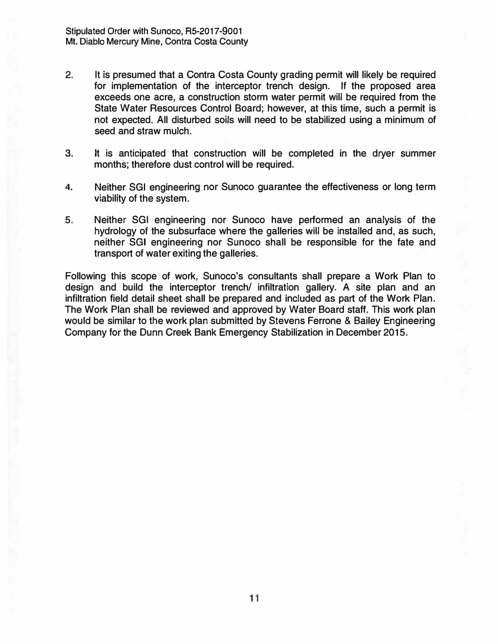- **2. It is presumed that a Contra Costa County grading permit will likely be required for implementation of the interceptor trench design. If the proposed area exceeds one acre, a construction storm water permit will be required from the State Water Resources Control Board; however, at this time, such a permit is not expected. All disturbed soils will need to be stabilized using a minimum of seed and straw mulch.**
- **3. It is anticipated that construction will be completed in the dryer summer months; therefore dust control will be required.**
- **4. Neither SGI engineering nor Sunoco guarantee the effectiveness or long term viability of the system.**
- **5. Neither SGI engineering nor Sunoco have performed an analysis of the hydrology of the subsurface where the galleries will be installed and, as such, neither SGI engineering nor Sunoco shall be responsible for the fate and transport of water exiting the galleries.**

**Following this scope of work, Sunoco's consultants shall prepare a Work Plan to design and build the interceptor trench/ infiltration gallery. A site plan and an infiltration field detail sheet shall be prepared and included as part of the Work Plan. The Work Plan shall be reviewed and approved by Water Board staff. This work plan would be similar to the work plan submitted by Stevens Ferrone & Bailey Engineering Company for the Dunn Creek Bank Emergency Stabilization in December 2015.**